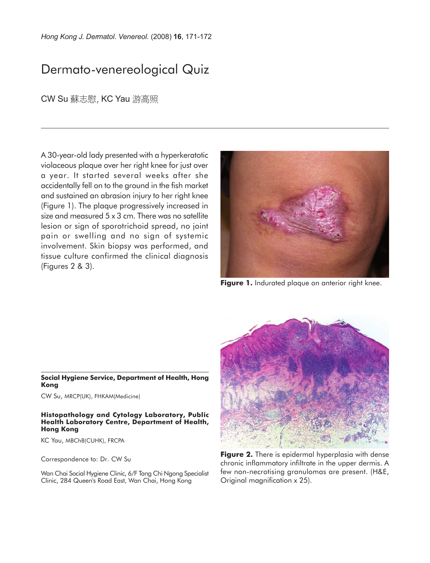*Hong Kong J. Dermatol. Venereol.* (2008) **16**, 171-172

# Dermato-venereological Quiz

CW Su 蘇志慰, KC Yau 游高照

A 30-year-old lady presented with a hyperkeratotic violaceous plaque over her right knee for just over a year. It started several weeks after she accidentally fell on to the ground in the fish market and sustained an abrasion injury to her right knee (Figure 1). The plaque progressively increased in size and measured 5 x 3 cm. There was no satellite lesion or sign of sporotrichoid spread, no joint pain or swelling and no sign of systemic involvement. Skin biopsy was performed, and tissue culture confirmed the clinical diagnosis (Figures 2 & 3).



**Figure 1.** Indurated plaque on anterior right knee.

#### **Social Hygiene Service, Department of Health, Hong Kong**

CW Su, MRCP(UK), FHKAM(Medicine)

#### **Histopathology and Cytology Laboratory, Public Health Laboratory Centre, Department of Health, Hong Kong**

KC Yau, MBChB(CUHK), FRCPA

Correspondence to: Dr. CW Su

Wan Chai Social Hygiene Clinic, 6/F Tang Chi Ngong Specialist Clinic, 284 Queen's Road East, Wan Chai, Hong Kong



**Figure 2.** There is epidermal hyperplasia with dense chronic inflammatory infiltrate in the upper dermis. A few non-necrotising granulomas are present. (H&E, Original magnification x 25).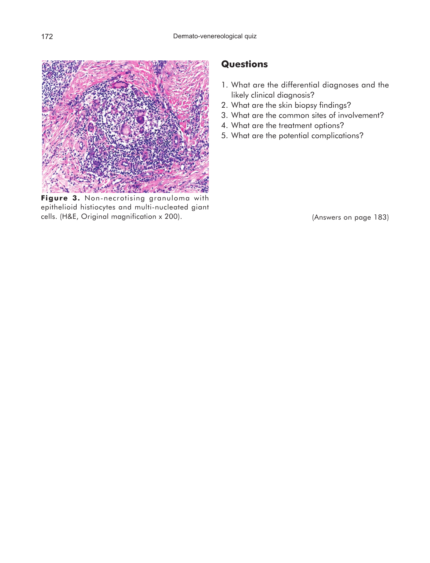

**Figure 3.** Non-necrotising granuloma with epithelioid histiocytes and multi-nucleated giant cells. (H&E, Original magnification x 200).

### **Questions**

- 1. What are the differential diagnoses and the likely clinical diagnosis?
- 2. What are the skin biopsy findings?
- 3. What are the common sites of involvement?
- 4. What are the treatment options?
- 5. What are the potential complications?

(Answers on page 183)